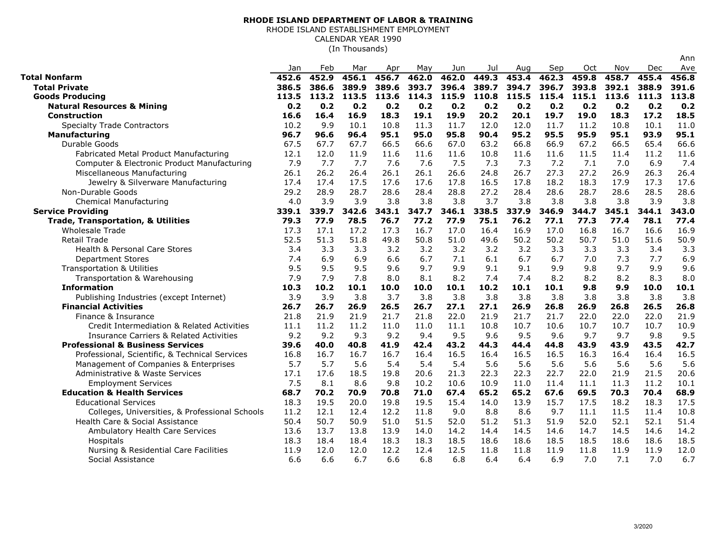## **RHODE ISLAND DEPARTMENT OF LABOR & TRAINING**

RHODE ISLAND ESTABLISHMENT EMPLOYMENT

CALENDAR YEAR 1990

(In Thousands)

|                                                    | Jan   | Feb   | Mar   | Apr   | May   | Jun   | Jul   | Aug   | Sep   | Oct   | Nov   | Dec   | Ave   |
|----------------------------------------------------|-------|-------|-------|-------|-------|-------|-------|-------|-------|-------|-------|-------|-------|
| Total Nonfarm                                      | 452.6 | 452.9 | 456.1 | 456.7 | 462.0 | 462.0 | 449.3 | 453.4 | 462.3 | 459.8 | 458.7 | 455.4 | 456.8 |
| <b>Total Private</b>                               | 386.5 | 386.6 | 389.9 | 389.6 | 393.7 | 396.4 | 389.7 | 394.7 | 396.7 | 393.8 | 392.1 | 388.9 | 391.6 |
| <b>Goods Producing</b>                             | 113.5 | 113.2 | 113.5 | 113.6 | 114.3 | 115.9 | 110.8 | 115.5 | 115.4 | 115.1 | 113.6 | 111.3 | 113.8 |
| <b>Natural Resources &amp; Mining</b>              | 0.2   | 0.2   | 0.2   | 0.2   | 0.2   | 0.2   | 0.2   | 0.2   | 0.2   | 0.2   | 0.2   | 0.2   | 0.2   |
| Construction                                       | 16.6  | 16.4  | 16.9  | 18.3  | 19.1  | 19.9  | 20.2  | 20.1  | 19.7  | 19.0  | 18.3  | 17.2  | 18.5  |
| <b>Specialty Trade Contractors</b>                 | 10.2  | 9.9   | 10.1  | 10.8  | 11.3  | 11.7  | 12.0  | 12.0  | 11.7  | 11.2  | 10.8  | 10.1  | 11.0  |
| <b>Manufacturing</b>                               | 96.7  | 96.6  | 96.4  | 95.1  | 95.0  | 95.8  | 90.4  | 95.2  | 95.5  | 95.9  | 95.1  | 93.9  | 95.1  |
| Durable Goods                                      | 67.5  | 67.7  | 67.7  | 66.5  | 66.6  | 67.0  | 63.2  | 66.8  | 66.9  | 67.2  | 66.5  | 65.4  | 66.6  |
| Fabricated Metal Product Manufacturing             | 12.1  | 12.0  | 11.9  | 11.6  | 11.6  | 11.6  | 10.8  | 11.6  | 11.6  | 11.5  | 11.4  | 11.2  | 11.6  |
| Computer & Electronic Product Manufacturing        | 7.9   | 7.7   | 7.7   | 7.6   | 7.6   | 7.5   | 7.3   | 7.3   | 7.2   | 7.1   | 7.0   | 6.9   | 7.4   |
| Miscellaneous Manufacturing                        | 26.1  | 26.2  | 26.4  | 26.1  | 26.1  | 26.6  | 24.8  | 26.7  | 27.3  | 27.2  | 26.9  | 26.3  | 26.4  |
| Jewelry & Silverware Manufacturing                 | 17.4  | 17.4  | 17.5  | 17.6  | 17.6  | 17.8  | 16.5  | 17.8  | 18.2  | 18.3  | 17.9  | 17.3  | 17.6  |
| Non-Durable Goods                                  | 29.2  | 28.9  | 28.7  | 28.6  | 28.4  | 28.8  | 27.2  | 28.4  | 28.6  | 28.7  | 28.6  | 28.5  | 28.6  |
| Chemical Manufacturing                             | 4.0   | 3.9   | 3.9   | 3.8   | 3.8   | 3.8   | 3.7   | 3.8   | 3.8   | 3.8   | 3.8   | 3.9   | 3.8   |
| <b>Service Providing</b>                           | 339.1 | 339.7 | 342.6 | 343.1 | 347.7 | 346.1 | 338.5 | 337.9 | 346.9 | 344.7 | 345.1 | 344.1 | 343.0 |
| <b>Trade, Transportation, &amp; Utilities</b>      | 79.3  | 77.9  | 78.5  | 76.7  | 77.2  | 77.9  | 75.1  | 76.2  | 77.1  | 77.3  | 77.4  | 78.1  | 77.4  |
| <b>Wholesale Trade</b>                             | 17.3  | 17.1  | 17.2  | 17.3  | 16.7  | 17.0  | 16.4  | 16.9  | 17.0  | 16.8  | 16.7  | 16.6  | 16.9  |
| <b>Retail Trade</b>                                | 52.5  | 51.3  | 51.8  | 49.8  | 50.8  | 51.0  | 49.6  | 50.2  | 50.2  | 50.7  | 51.0  | 51.6  | 50.9  |
| Health & Personal Care Stores                      | 3.4   | 3.3   | 3.3   | 3.2   | 3.2   | 3.2   | 3.2   | 3.2   | 3.3   | 3.3   | 3.3   | 3.4   | 3.3   |
| <b>Department Stores</b>                           | 7.4   | 6.9   | 6.9   | 6.6   | 6.7   | 7.1   | 6.1   | 6.7   | 6.7   | 7.0   | 7.3   | 7.7   | 6.9   |
| <b>Transportation &amp; Utilities</b>              | 9.5   | 9.5   | 9.5   | 9.6   | 9.7   | 9.9   | 9.1   | 9.1   | 9.9   | 9.8   | 9.7   | 9.9   | 9.6   |
| Transportation & Warehousing                       | 7.9   | 7.9   | 7.8   | 8.0   | 8.1   | 8.2   | 7.4   | 7.4   | 8.2   | 8.2   | 8.2   | 8.3   | 8.0   |
| <b>Information</b>                                 | 10.3  | 10.2  | 10.1  | 10.0  | 10.0  | 10.1  | 10.2  | 10.1  | 10.1  | 9.8   | 9.9   | 10.0  | 10.1  |
| Publishing Industries (except Internet)            | 3.9   | 3.9   | 3.8   | 3.7   | 3.8   | 3.8   | 3.8   | 3.8   | 3.8   | 3.8   | 3.8   | 3.8   | 3.8   |
| <b>Financial Activities</b>                        | 26.7  | 26.7  | 26.9  | 26.5  | 26.7  | 27.1  | 27.1  | 26.9  | 26.8  | 26.9  | 26.8  | 26.5  | 26.8  |
| Finance & Insurance                                | 21.8  | 21.9  | 21.9  | 21.7  | 21.8  | 22.0  | 21.9  | 21.7  | 21.7  | 22.0  | 22.0  | 22.0  | 21.9  |
| Credit Intermediation & Related Activities         | 11.1  | 11.2  | 11.2  | 11.0  | 11.0  | 11.1  | 10.8  | 10.7  | 10.6  | 10.7  | 10.7  | 10.7  | 10.9  |
| <b>Insurance Carriers &amp; Related Activities</b> | 9.2   | 9.2   | 9.3   | 9.2   | 9.4   | 9.5   | 9.6   | 9.5   | 9.6   | 9.7   | 9.7   | 9.8   | 9.5   |
| <b>Professional &amp; Business Services</b>        | 39.6  | 40.0  | 40.8  | 41.9  | 42.4  | 43.2  | 44.3  | 44.4  | 44.8  | 43.9  | 43.9  | 43.5  | 42.7  |
| Professional, Scientific, & Technical Services     | 16.8  | 16.7  | 16.7  | 16.7  | 16.4  | 16.5  | 16.4  | 16.5  | 16.5  | 16.3  | 16.4  | 16.4  | 16.5  |
| Management of Companies & Enterprises              | 5.7   | 5.7   | 5.6   | 5.4   | 5.4   | 5.4   | 5.6   | 5.6   | 5.6   | 5.6   | 5.6   | 5.6   | 5.6   |
| Administrative & Waste Services                    | 17.1  | 17.6  | 18.5  | 19.8  | 20.6  | 21.3  | 22.3  | 22.3  | 22.7  | 22.0  | 21.9  | 21.5  | 20.6  |
| <b>Employment Services</b>                         | 7.5   | 8.1   | 8.6   | 9.8   | 10.2  | 10.6  | 10.9  | 11.0  | 11.4  | 11.1  | 11.3  | 11.2  | 10.1  |
| <b>Education &amp; Health Services</b>             | 68.7  | 70.2  | 70.9  | 70.8  | 71.0  | 67.4  | 65.2  | 65.2  | 67.6  | 69.5  | 70.3  | 70.4  | 68.9  |
| <b>Educational Services</b>                        | 18.3  | 19.5  | 20.0  | 19.8  | 19.5  | 15.4  | 14.0  | 13.9  | 15.7  | 17.5  | 18.2  | 18.3  | 17.5  |
| Colleges, Universities, & Professional Schools     | 11.2  | 12.1  | 12.4  | 12.2  | 11.8  | 9.0   | 8.8   | 8.6   | 9.7   | 11.1  | 11.5  | 11.4  | 10.8  |
| Health Care & Social Assistance                    | 50.4  | 50.7  | 50.9  | 51.0  | 51.5  | 52.0  | 51.2  | 51.3  | 51.9  | 52.0  | 52.1  | 52.1  | 51.4  |
| Ambulatory Health Care Services                    | 13.6  | 13.7  | 13.8  | 13.9  | 14.0  | 14.2  | 14.4  | 14.5  | 14.6  | 14.7  | 14.5  | 14.6  | 14.2  |
| Hospitals                                          | 18.3  | 18.4  | 18.4  | 18.3  | 18.3  | 18.5  | 18.6  | 18.6  | 18.5  | 18.5  | 18.6  | 18.6  | 18.5  |
| Nursing & Residential Care Facilities              | 11.9  | 12.0  | 12.0  | 12.2  | 12.4  | 12.5  | 11.8  | 11.8  | 11.9  | 11.8  | 11.9  | 11.9  | 12.0  |
| Social Assistance                                  | 6.6   | 6.6   | 6.7   | 6.6   | 6.8   | 6.8   | 6.4   | 6.4   | 6.9   | 7.0   | 7.1   | 7.0   | 6.7   |

Ann